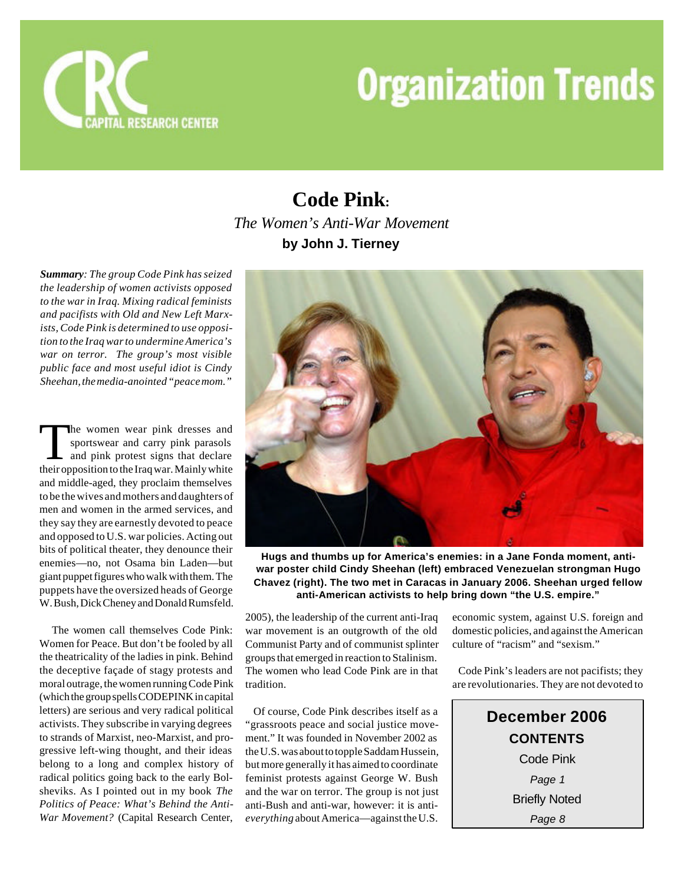

### **Code Pink:** *The Women's Anti-War Movement* **by John J. Tierney**

*Summary: The group Code Pink has seized the leadership of women activists opposed to the war in Iraq. Mixing radical feminists and pacifists with Old and New Left Marxists, Code Pink is determined to use opposition to the Iraq war to undermine America's war on terror. The group's most visible public face and most useful idiot is Cindy Sheehan, the media-anointed "peace mom."*

The women wear pink dresses and<br>sportswear and carry pink parasols<br>and pink protest signs that declare<br>their opposition to the Iraq war. Mainly white he women wear pink dresses and sportswear and carry pink parasols and pink protest signs that declare and middle-aged, they proclaim themselves to be the wives and mothers and daughters of men and women in the armed services, and they say they are earnestly devoted to peace and opposed to U.S. war policies. Acting out bits of political theater, they denounce their enemies—no, not Osama bin Laden—but giant puppet figures who walk with them. The puppets have the oversized heads of George W. Bush, Dick Cheney and Donald Rumsfeld.

 The women call themselves Code Pink: Women for Peace. But don't be fooled by all the theatricality of the ladies in pink. Behind the deceptive façade of stagy protests and moral outrage, the women running Code Pink (which the group spells CODEPINK in capital letters) are serious and very radical political activists. They subscribe in varying degrees to strands of Marxist, neo-Marxist, and progressive left-wing thought, and their ideas belong to a long and complex history of radical politics going back to the early Bolsheviks. As I pointed out in my book *The Politics of Peace: What's Behind the Anti-War Movement?* (Capital Research Center,



**Hugs and thumbs up for America's enemies: in a Jane Fonda moment, antiwar poster child Cindy Sheehan (left) embraced Venezuelan strongman Hugo Chavez (right). The two met in Caracas in January 2006. Sheehan urged fellow anti-American activists to help bring down "the U.S. empire."**

2005), the leadership of the current anti-Iraq war movement is an outgrowth of the old Communist Party and of communist splinter groups that emerged in reaction to Stalinism. The women who lead Code Pink are in that tradition.

 Of course, Code Pink describes itself as a "grassroots peace and social justice movement." It was founded in November 2002 as the U.S. was about to topple Saddam Hussein, but more generally it has aimed to coordinate feminist protests against George W. Bush and the war on terror. The group is not just anti-Bush and anti-war, however: it is anti*everything* about America—against the U.S.

economic system, against U.S. foreign and domestic policies, and against the American culture of "racism" and "sexism."

 Code Pink's leaders are not pacifists; they are revolutionaries. They are not devoted to

> **December 2006 CONTENTS** Code Pink *Page 1* Briefly Noted *Page 8*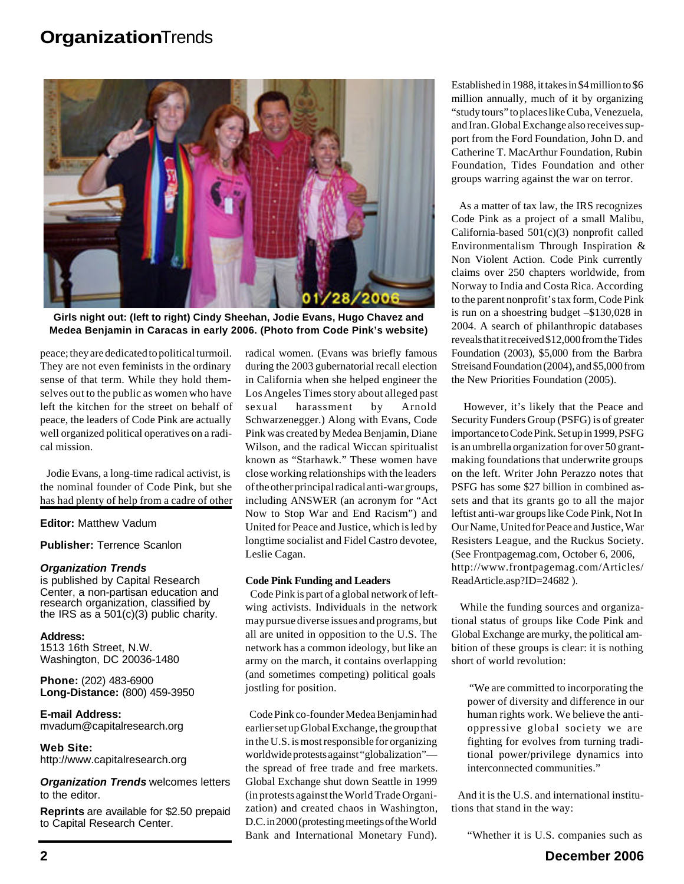

**Girls night out: (left to right) Cindy Sheehan, Jodie Evans, Hugo Chavez and Medea Benjamin in Caracas in early 2006. (Photo from Code Pink's website)**

peace; they are dedicated to political turmoil. They are not even feminists in the ordinary sense of that term. While they hold themselves out to the public as women who have left the kitchen for the street on behalf of peace, the leaders of Code Pink are actually well organized political operatives on a radical mission.

 Jodie Evans, a long-time radical activist, is the nominal founder of Code Pink, but she has had plenty of help from a cadre of other

**Editor:** Matthew Vadum

**Publisher:** Terrence Scanlon

#### *Organization Trends*

is published by Capital Research Center, a non-partisan education and research organization, classified by the IRS as a 501(c)(3) public charity.

**Address:** 1513 16th Street, N.W. Washington, DC 20036-1480

**Phone:** (202) 483-6900 **Long-Distance:** (800) 459-3950

**E-mail Address:** mvadum@capitalresearch.org

**Web Site:** http://www.capitalresearch.org

*Organization Trends* welcomes letters to the editor.

**Reprints** are available for \$2.50 prepaid to Capital Research Center.

radical women. (Evans was briefly famous during the 2003 gubernatorial recall election in California when she helped engineer the Los Angeles Times story about alleged past sexual harassment by Arnold Schwarzenegger.) Along with Evans, Code Pink was created by Medea Benjamin, Diane Wilson, and the radical Wiccan spiritualist known as "Starhawk." These women have close working relationships with the leaders of the other principal radical anti-war groups, including ANSWER (an acronym for "Act Now to Stop War and End Racism") and United for Peace and Justice, which is led by longtime socialist and Fidel Castro devotee, Leslie Cagan.

#### **Code Pink Funding and Leaders**

 Code Pink is part of a global network of leftwing activists. Individuals in the network may pursue diverse issues and programs, but all are united in opposition to the U.S. The network has a common ideology, but like an army on the march, it contains overlapping (and sometimes competing) political goals jostling for position.

 Code Pink co-founder Medea Benjamin had earlier set up Global Exchange, the group that in the U.S. is most responsible for organizing worldwide protests against "globalization" the spread of free trade and free markets. Global Exchange shut down Seattle in 1999 (in protests against the World Trade Organization) and created chaos in Washington, D.C. in 2000 (protesting meetings of the World Bank and International Monetary Fund).

Established in 1988, it takes in \$4 million to \$6 million annually, much of it by organizing "study tours" to places like Cuba, Venezuela, and Iran. Global Exchange also receives support from the Ford Foundation, John D. and Catherine T. MacArthur Foundation, Rubin Foundation, Tides Foundation and other groups warring against the war on terror.

 As a matter of tax law, the IRS recognizes Code Pink as a project of a small Malibu, California-based 501(c)(3) nonprofit called Environmentalism Through Inspiration & Non Violent Action. Code Pink currently claims over 250 chapters worldwide, from Norway to India and Costa Rica. According to the parent nonprofit's tax form, Code Pink is run on a shoestring budget –\$130,028 in 2004. A search of philanthropic databases reveals that it received \$12,000 from the Tides Foundation (2003), \$5,000 from the Barbra Streisand Foundation (2004), and \$5,000 from the New Priorities Foundation (2005).

 However, it's likely that the Peace and Security Funders Group (PSFG) is of greater importance to Code Pink. Set up in 1999, PSFG is an umbrella organization for over 50 grantmaking foundations that underwrite groups on the left. Writer John Perazzo notes that PSFG has some \$27 billion in combined assets and that its grants go to all the major leftist anti-war groups like Code Pink, Not In Our Name, United for Peace and Justice, War Resisters League, and the Ruckus Society. (See Frontpagemag.com, October 6, 2006, http://www.frontpagemag.com/Articles/ ReadArticle.asp?ID=24682 ).

 While the funding sources and organizational status of groups like Code Pink and Global Exchange are murky, the political ambition of these groups is clear: it is nothing short of world revolution:

 "We are committed to incorporating the power of diversity and difference in our human rights work. We believe the antioppressive global society we are fighting for evolves from turning traditional power/privilege dynamics into interconnected communities."

 And it is the U.S. and international institutions that stand in the way:

"Whether it is U.S. companies such as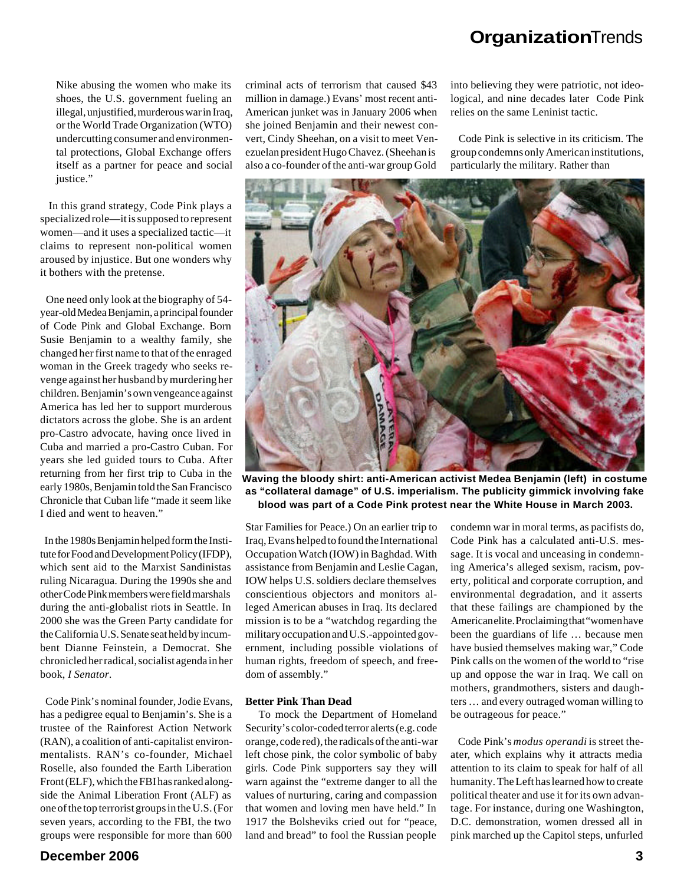Nike abusing the women who make its shoes, the U.S. government fueling an illegal, unjustified, murderous war in Iraq, or the World Trade Organization (WTO) undercutting consumer and environmental protections, Global Exchange offers itself as a partner for peace and social justice."

 In this grand strategy, Code Pink plays a specialized role—it is supposed to represent women—and it uses a specialized tactic—it claims to represent non-political women aroused by injustice. But one wonders why it bothers with the pretense.

 One need only look at the biography of 54 year-old Medea Benjamin, a principal founder of Code Pink and Global Exchange. Born Susie Benjamin to a wealthy family, she changed her first name to that of the enraged woman in the Greek tragedy who seeks revenge against her husband by murdering her children. Benjamin's own vengeance against America has led her to support murderous dictators across the globe. She is an ardent pro-Castro advocate, having once lived in Cuba and married a pro-Castro Cuban. For years she led guided tours to Cuba. After returning from her first trip to Cuba in the early 1980s, Benjamin told the San Francisco Chronicle that Cuban life "made it seem like I died and went to heaven."

 In the 1980s Benjamin helped form the Institute for Food and Development Policy (IFDP), which sent aid to the Marxist Sandinistas ruling Nicaragua. During the 1990s she and other Code Pink members were field marshals during the anti-globalist riots in Seattle. In 2000 she was the Green Party candidate for the California U.S. Senate seat held by incumbent Dianne Feinstein, a Democrat. She chronicled her radical, socialist agenda in her book, *I Senator.*

 Code Pink's nominal founder, Jodie Evans, has a pedigree equal to Benjamin's. She is a trustee of the Rainforest Action Network (RAN), a coalition of anti-capitalist environmentalists. RAN's co-founder, Michael Roselle, also founded the Earth Liberation Front (ELF), which the FBI has ranked alongside the Animal Liberation Front (ALF) as one of the top terrorist groups in the U.S. (For seven years, according to the FBI, the two groups were responsible for more than 600

criminal acts of terrorism that caused \$43 million in damage.) Evans' most recent anti-American junket was in January 2006 when she joined Benjamin and their newest convert, Cindy Sheehan, on a visit to meet Venezuelan president Hugo Chavez. (Sheehan is also a co-founder of the anti-war group Gold

into believing they were patriotic, not ideological, and nine decades later Code Pink relies on the same Leninist tactic.

 Code Pink is selective in its criticism. The group condemns only American institutions, particularly the military. Rather than



**Waving the bloody shirt: anti-American activist Medea Benjamin (left) in costume as "collateral damage" of U.S. imperialism. The publicity gimmick involving fake blood was part of a Code Pink protest near the White House in March 2003.**

Star Families for Peace.) On an earlier trip to Iraq, Evans helped to found the International Occupation Watch (IOW) in Baghdad. With assistance from Benjamin and Leslie Cagan, IOW helps U.S. soldiers declare themselves conscientious objectors and monitors alleged American abuses in Iraq. Its declared mission is to be a "watchdog regarding the military occupation and U.S.-appointed government, including possible violations of human rights, freedom of speech, and freedom of assembly."

#### **Better Pink Than Dead**

 To mock the Department of Homeland Security's color-coded terror alerts (e.g. code orange, code red), the radicals of the anti-war left chose pink, the color symbolic of baby girls. Code Pink supporters say they will warn against the "extreme danger to all the values of nurturing, caring and compassion that women and loving men have held." In 1917 the Bolsheviks cried out for "peace, land and bread" to fool the Russian people

condemn war in moral terms, as pacifists do, Code Pink has a calculated anti-U.S. message. It is vocal and unceasing in condemning America's alleged sexism, racism, poverty, political and corporate corruption, and environmental degradation, and it asserts that these failings are championed by the American elite. Proclaiming that "women have been the guardians of life … because men have busied themselves making war," Code Pink calls on the women of the world to "rise up and oppose the war in Iraq. We call on mothers, grandmothers, sisters and daughters … and every outraged woman willing to be outrageous for peace."

 Code Pink's *modus operandi* is street theater*,* which explains why it attracts media attention to its claim to speak for half of all humanity. The Left has learned how to create political theater and use it for its own advantage. For instance, during one Washington, D.C. demonstration, women dressed all in pink marched up the Capitol steps, unfurled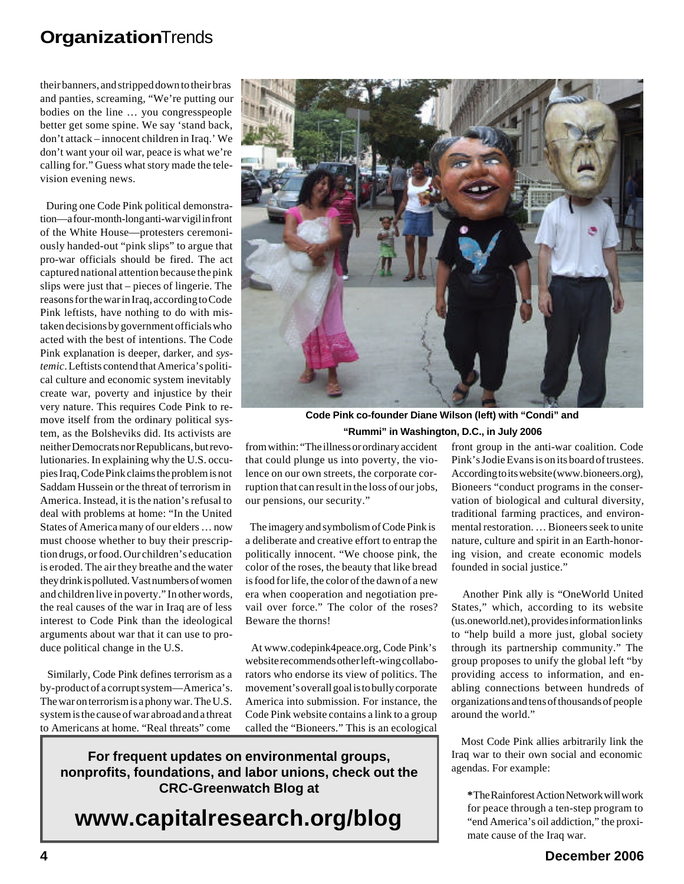their banners, and stripped down to their bras and panties, screaming, "We're putting our bodies on the line … you congresspeople better get some spine. We say 'stand back, don't attack – innocent children in Iraq.' We don't want your oil war, peace is what we're calling for." Guess what story made the television evening news.

 During one Code Pink political demonstration—a four-month-long anti-war vigil in front of the White House—protesters ceremoniously handed-out "pink slips" to argue that pro-war officials should be fired. The act captured national attention because the pink slips were just that – pieces of lingerie. The reasons for the war in Iraq, according to Code Pink leftists, have nothing to do with mistaken decisions by government officials who acted with the best of intentions. The Code Pink explanation is deeper, darker, and *systemic*. Leftists contend that America's political culture and economic system inevitably create war, poverty and injustice by their very nature. This requires Code Pink to remove itself from the ordinary political system, as the Bolsheviks did. Its activists are neither Democrats nor Republicans, but revolutionaries. In explaining why the U.S. occupies Iraq, Code Pink claims the problem is not Saddam Hussein or the threat of terrorism in America. Instead, it is the nation's refusal to deal with problems at home: "In the United States of America many of our elders … now must choose whether to buy their prescription drugs, or food. Our children's education is eroded. The air they breathe and the water they drink is polluted. Vast numbers of women and children live in poverty." In other words, the real causes of the war in Iraq are of less interest to Code Pink than the ideological arguments about war that it can use to produce political change in the U.S.

 Similarly, Code Pink defines terrorism as a by-product of a corrupt system—America's. The war on terrorism is a phony war. The U.S. system is the cause of war abroad and a threat to Americans at home. "Real threats" come



**Code Pink co-founder Diane Wilson (left) with "Condi" and "Rummi" in Washington, D.C., in July 2006**

from within: "The illness or ordinary accident that could plunge us into poverty, the violence on our own streets, the corporate corruption that can result in the loss of our jobs, our pensions, our security."

 The imagery and symbolism of Code Pink is a deliberate and creative effort to entrap the politically innocent. "We choose pink, the color of the roses, the beauty that like bread is food for life, the color of the dawn of a new era when cooperation and negotiation prevail over force." The color of the roses? Beware the thorns!

 At www.codepink4peace.org, Code Pink's website recommends other left-wing collaborators who endorse its view of politics. The movement's overall goal is to bully corporate America into submission. For instance, the Code Pink website contains a link to a group called the "Bioneers." This is an ecological

front group in the anti-war coalition. Code Pink's Jodie Evans is on its board of trustees. According to its website (www.bioneers.org), Bioneers "conduct programs in the conservation of biological and cultural diversity, traditional farming practices, and environmental restoration. … Bioneers seek to unite nature, culture and spirit in an Earth-honoring vision, and create economic models founded in social justice."

 Another Pink ally is "OneWorld United States," which, according to its website (us.oneworld.net), provides information links to "help build a more just, global society through its partnership community." The group proposes to unify the global left "by providing access to information, and enabling connections between hundreds of organizations and tens of thousands of people around the world."

 Most Code Pink allies arbitrarily link the Iraq war to their own social and economic agendas. For example:

**\***The Rainforest Action Network will work for peace through a ten-step program to "end America's oil addiction," the proximate cause of the Iraq war.

**For frequent updates on environmental groups, nonprofits, foundations, and labor unions, check out the CRC-Greenwatch Blog at**

**www.capitalresearch.org/blog**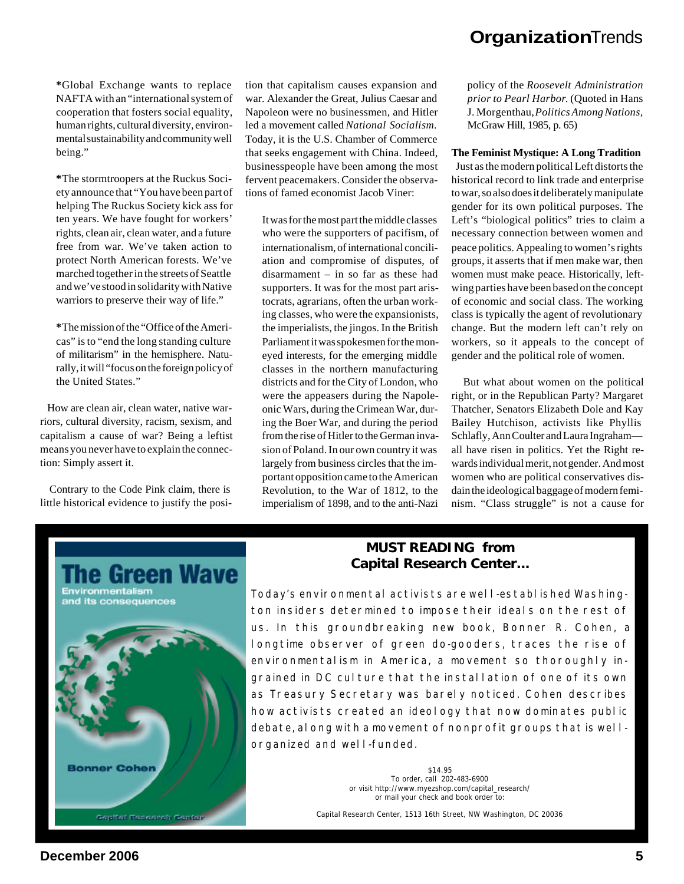**\***Global Exchange wants to replace NAFTA with an "international system of cooperation that fosters social equality, human rights, cultural diversity, environmental sustainability and community well being."

**\***The stormtroopers at the Ruckus Society announce that "You have been part of helping The Ruckus Society kick ass for ten years. We have fought for workers' rights, clean air, clean water, and a future free from war. We've taken action to protect North American forests. We've marched together in the streets of Seattle and we've stood in solidarity with Native warriors to preserve their way of life."

**\***The mission of the "Office of the Americas" is to "end the long standing culture of militarism" in the hemisphere. Naturally, it will "focus on the foreign policy of the United States."

 How are clean air, clean water, native warriors, cultural diversity, racism, sexism, and capitalism a cause of war? Being a leftist means you never have to explain the connection: Simply assert it.

 Contrary to the Code Pink claim, there is little historical evidence to justify the position that capitalism causes expansion and war. Alexander the Great, Julius Caesar and Napoleon were no businessmen, and Hitler led a movement called *National Socialism.* Today, it is the U.S. Chamber of Commerce that seeks engagement with China. Indeed, businesspeople have been among the most fervent peacemakers. Consider the observations of famed economist Jacob Viner:

It was for the most part the middle classes who were the supporters of pacifism, of internationalism, of international conciliation and compromise of disputes, of disarmament – in so far as these had supporters. It was for the most part aristocrats, agrarians, often the urban working classes, who were the expansionists, the imperialists, the jingos. In the British Parliament it was spokesmen for the moneyed interests, for the emerging middle classes in the northern manufacturing districts and for the City of London, who were the appeasers during the Napoleonic Wars, during the Crimean War, during the Boer War, and during the period from the rise of Hitler to the German invasion of Poland. In our own country it was largely from business circles that the important opposition came to the American Revolution, to the War of 1812, to the imperialism of 1898, and to the anti-Nazi

## **Organization**Trends

policy of the *Roosevelt Administration prior to Pearl Harbor*. (Quoted in Hans J. Morgenthau, *Politics Among Nations,* McGraw Hill, 1985, p. 65)

#### **The Feminist Mystique: A Long Tradition**

 Just as the modern political Left distorts the historical record to link trade and enterprise to war, so also does it deliberately manipulate gender for its own political purposes. The Left's "biological politics" tries to claim a necessary connection between women and peace politics. Appealing to women's rights groups, it asserts that if men make war, then women must make peace. Historically, leftwing parties have been based on the concept of economic and social class. The working class is typically the agent of revolutionary change. But the modern left can't rely on workers, so it appeals to the concept of gender and the political role of women.

 But what about women on the political right, or in the Republican Party? Margaret Thatcher, Senators Elizabeth Dole and Kay Bailey Hutchison, activists like Phyllis Schlafly, Ann Coulter and Laura Ingraham all have risen in politics. Yet the Right rewards individual merit, not gender. And most women who are political conservatives disdain the ideological baggage of modern feminism. "Class struggle" is not a cause for



#### *MUST READING* **from Capital Research Center...**

Today's environmental activists are well-established Washington insiders determined to impose their ideals on the rest of us. In this groundbreaking new book, Bonner R. Cohen, a longtime observer of green do-gooders, traces the rise of environmentalism in America, a movement so thoroughly ingrained in DC cul ture that the install ation of one of its own as Treasury Secretary was barely noticed. Cohen describes how activists created an ideology that now dominates public debate, along with a movement of nonprofit groups that is wellorganized and well-funded.

> *\$14.95 To order, call* 202-483-6900 or visit http://www.myezshop.com/capital\_research/ *or mail your check and book order to:*

Capital Research Center, 1513 16th Street, NW Washington, DC 20036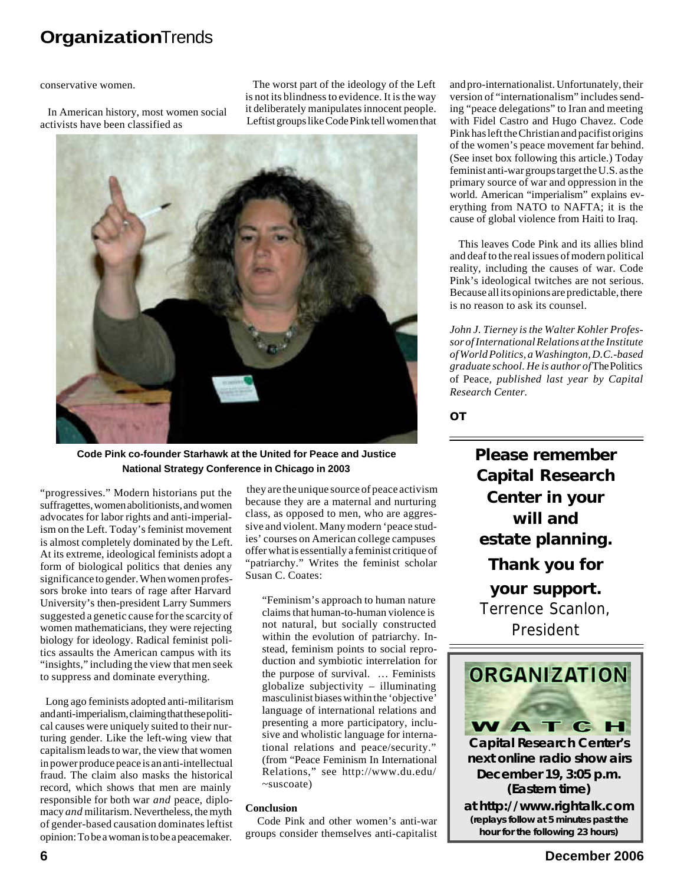conservative women.

 In American history, most women social activists have been classified as

**Code Pink co-founder Starhawk at the United for Peace and Justice National Strategy Conference in Chicago in 2003**

"progressives." Modern historians put the suffragettes, women abolitionists, and women advocates for labor rights and anti-imperialism on the Left. Today's feminist movement is almost completely dominated by the Left. At its extreme, ideological feminists adopt a form of biological politics that denies any significance to gender. When women professors broke into tears of rage after Harvard University's then-president Larry Summers suggested a genetic cause for the scarcity of women mathematicians, they were rejecting biology for ideology. Radical feminist politics assaults the American campus with its "insights," including the view that men seek to suppress and dominate everything.

 Long ago feminists adopted anti-militarism and anti-imperialism, claiming that these political causes were uniquely suited to their nurturing gender. Like the left-wing view that capitalism leads to war, the view that women in power produce peace is an anti-intellectual fraud. The claim also masks the historical record, which shows that men are mainly responsible for both war *and* peace, diplomacy *and* militarism. Nevertheless, the myth of gender-based causation dominates leftist opinion: To be a woman is to be a peacemaker.

 they are the unique source of peace activism because they are a maternal and nurturing class, as opposed to men, who are aggressive and violent. Many modern 'peace studies' courses on American college campuses offer what is essentially a feminist critique of "patriarchy." Writes the feminist scholar Susan C. Coates:

 The worst part of the ideology of the Left is not its blindness to evidence. It is the way it deliberately manipulates innocent people. Leftist groups like Code Pink tell women that

"Feminism's approach to human nature claims that human-to-human violence is not natural, but socially constructed within the evolution of patriarchy. Instead, feminism points to social reproduction and symbiotic interrelation for the purpose of survival. … Feminists globalize subjectivity – illuminating masculinist biases within the 'objective' language of international relations and presenting a more participatory, inclusive and wholistic language for international relations and peace/security." (from "Peace Feminism In International Relations," see http://www.du.edu/ ~suscoate)

#### **Conclusion**

 Code Pink and other women's anti-war groups consider themselves anti-capitalist and pro-internationalist. Unfortunately, their version of "internationalism" includes sending "peace delegations" to Iran and meeting with Fidel Castro and Hugo Chavez. Code Pink has left the Christian and pacifist origins of the women's peace movement far behind. (See inset box following this article.) Today feminist anti-war groups target the U.S. as the primary source of war and oppression in the world. American "imperialism" explains everything from NATO to NAFTA; it is the cause of global violence from Haiti to Iraq.

 This leaves Code Pink and its allies blind and deaf to the real issues of modern political reality, including the causes of war. Code Pink's ideological twitches are not serious. Because all its opinions are predictable, there is no reason to ask its counsel.

*John J. Tierney is the Walter Kohler Professor of International Relations at the Institute of World Politics, a Washington, D.C.-based graduate school. He is author of* The Politics of Peace*, published last year by Capital Research Center.*

*OT*

**Please remember Capital Research Center in your will and estate planning. Thank you for your support.** Terrence Scanlon, President

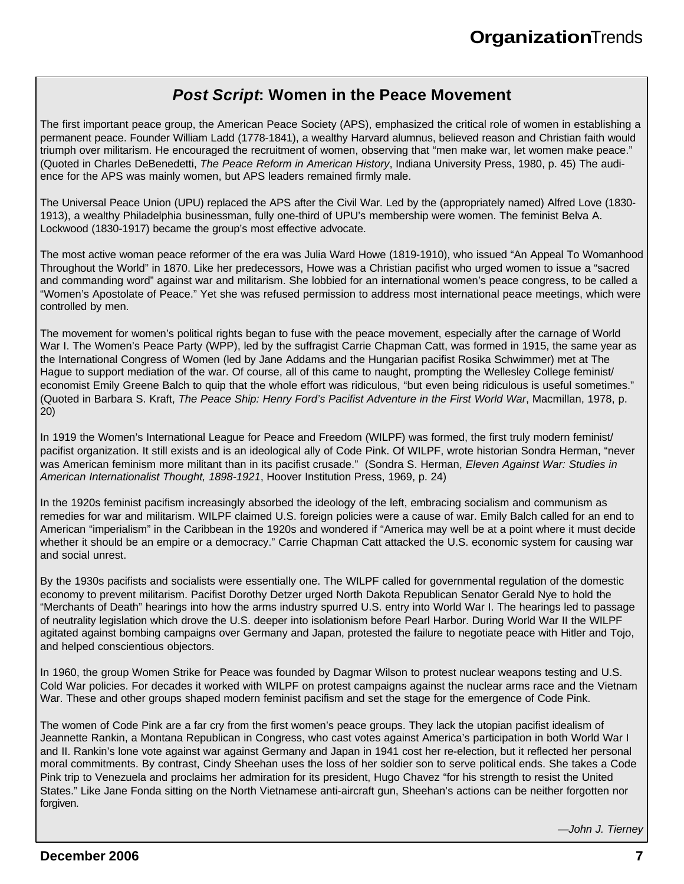#### *Post Script***: Women in the Peace Movement**

The first important peace group, the American Peace Society (APS), emphasized the critical role of women in establishing a permanent peace. Founder William Ladd (1778-1841), a wealthy Harvard alumnus, believed reason and Christian faith would triumph over militarism. He encouraged the recruitment of women, observing that "men make war, let women make peace." (Quoted in Charles DeBenedetti, *The Peace Reform in American History*, Indiana University Press, 1980, p. 45) The audience for the APS was mainly women, but APS leaders remained firmly male.

The Universal Peace Union (UPU) replaced the APS after the Civil War. Led by the (appropriately named) Alfred Love (1830- 1913), a wealthy Philadelphia businessman, fully one-third of UPU's membership were women. The feminist Belva A. Lockwood (1830-1917) became the group's most effective advocate.

The most active woman peace reformer of the era was Julia Ward Howe (1819-1910), who issued "An Appeal To Womanhood Throughout the World" in 1870. Like her predecessors, Howe was a Christian pacifist who urged women to issue a "sacred and commanding word" against war and militarism. She lobbied for an international women's peace congress, to be called a "Women's Apostolate of Peace." Yet she was refused permission to address most international peace meetings, which were controlled by men.

The movement for women's political rights began to fuse with the peace movement, especially after the carnage of World War I. The Women's Peace Party (WPP), led by the suffragist Carrie Chapman Catt, was formed in 1915, the same year as the International Congress of Women (led by Jane Addams and the Hungarian pacifist Rosika Schwimmer) met at The Hague to support mediation of the war. Of course, all of this came to naught, prompting the Wellesley College feminist/ economist Emily Greene Balch to quip that the whole effort was ridiculous, "but even being ridiculous is useful sometimes." (Quoted in Barbara S. Kraft, *The Peace Ship: Henry Ford's Pacifist Adventure in the First World War*, Macmillan, 1978, p. 20)

In 1919 the Women's International League for Peace and Freedom (WILPF) was formed, the first truly modern feminist/ pacifist organization. It still exists and is an ideological ally of Code Pink. Of WILPF, wrote historian Sondra Herman, "never was American feminism more militant than in its pacifist crusade." (Sondra S. Herman, *Eleven Against War: Studies in American Internationalist Thought, 1898-1921*, Hoover Institution Press, 1969, p. 24)

In the 1920s feminist pacifism increasingly absorbed the ideology of the left, embracing socialism and communism as remedies for war and militarism. WILPF claimed U.S. foreign policies were a cause of war. Emily Balch called for an end to American "imperialism" in the Caribbean in the 1920s and wondered if "America may well be at a point where it must decide whether it should be an empire or a democracy." Carrie Chapman Catt attacked the U.S. economic system for causing war and social unrest.

By the 1930s pacifists and socialists were essentially one. The WILPF called for governmental regulation of the domestic economy to prevent militarism. Pacifist Dorothy Detzer urged North Dakota Republican Senator Gerald Nye to hold the "Merchants of Death" hearings into how the arms industry spurred U.S. entry into World War I. The hearings led to passage of neutrality legislation which drove the U.S. deeper into isolationism before Pearl Harbor. During World War II the WILPF agitated against bombing campaigns over Germany and Japan, protested the failure to negotiate peace with Hitler and Tojo, and helped conscientious objectors.

In 1960, the group Women Strike for Peace was founded by Dagmar Wilson to protest nuclear weapons testing and U.S. Cold War policies. For decades it worked with WILPF on protest campaigns against the nuclear arms race and the Vietnam War. These and other groups shaped modern feminist pacifism and set the stage for the emergence of Code Pink.

The women of Code Pink are a far cry from the first women's peace groups. They lack the utopian pacifist idealism of Jeannette Rankin, a Montana Republican in Congress, who cast votes against America's participation in both World War I and II. Rankin's lone vote against war against Germany and Japan in 1941 cost her re-election, but it reflected her personal moral commitments. By contrast, Cindy Sheehan uses the loss of her soldier son to serve political ends. She takes a Code Pink trip to Venezuela and proclaims her admiration for its president, Hugo Chavez "for his strength to resist the United States." Like Jane Fonda sitting on the North Vietnamese anti-aircraft gun, Sheehan's actions can be neither forgotten nor forgiven.

*—John J. Tierney*